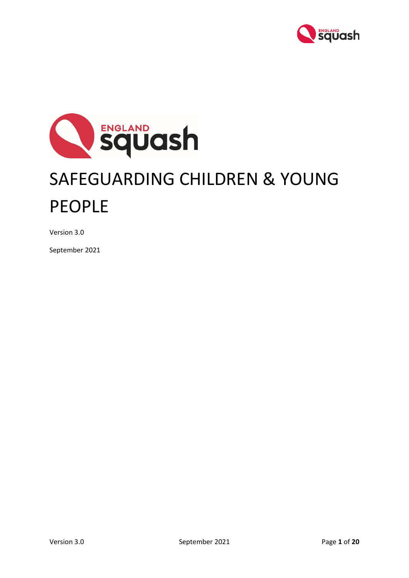



Version 3.0

September 2021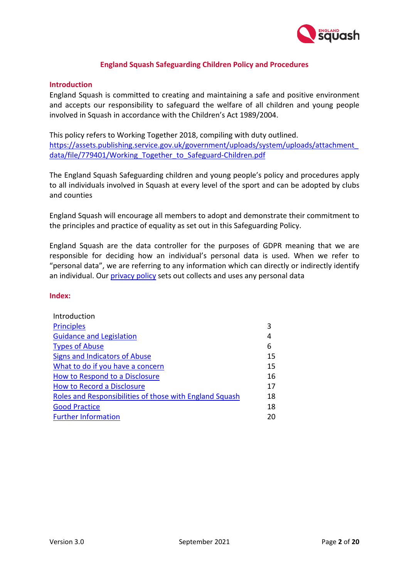

## **England Squash Safeguarding Children Policy and Procedures**

### **Introduction**

England Squash is committed to creating and maintaining a safe and positive environment and accepts our responsibility to safeguard the welfare of all children and young people involved in Squash in accordance with the Children's Act 1989/2004.

This policy refers to Working Together 2018, compiling with duty outlined. [https://assets.publishing.service.gov.uk/government/uploads/system/uploads/attachment\\_](https://assets.publishing.service.gov.uk/government/uploads/system/uploads/attachment_data/file/779401/Working_Together_to_Safeguard-Children.pdf) data/file/779401/Working Together to Safeguard-Children.pdf

The England Squash Safeguarding children and young people's policy and procedures apply to all individuals involved in Squash at every level of the sport and can be adopted by clubs and counties

England Squash will encourage all members to adopt and demonstrate their commitment to the principles and practice of equality as set out in this Safeguarding Policy.

England Squash are the data controller for the purposes of GDPR meaning that we are responsible for deciding how an individual's personal data is used. When we refer to "personal data", we are referring to any information which can directly or indirectly identify an individual. Our [privacy policy](https://www.englandsquash.com/privacy-policy) sets out collects and uses any personal data

#### **Index:**

| Introduction                                            |    |
|---------------------------------------------------------|----|
| <b>Principles</b>                                       | 3  |
| <b>Guidance and Legislation</b>                         | 4  |
| <b>Types of Abuse</b>                                   | 6  |
| Signs and Indicators of Abuse                           | 15 |
| What to do if you have a concern                        | 15 |
| How to Respond to a Disclosure                          | 16 |
| <b>How to Record a Disclosure</b>                       | 17 |
| Roles and Responsibilities of those with England Squash | 18 |
| <b>Good Practice</b>                                    | 18 |
| <b>Further Information</b>                              | 20 |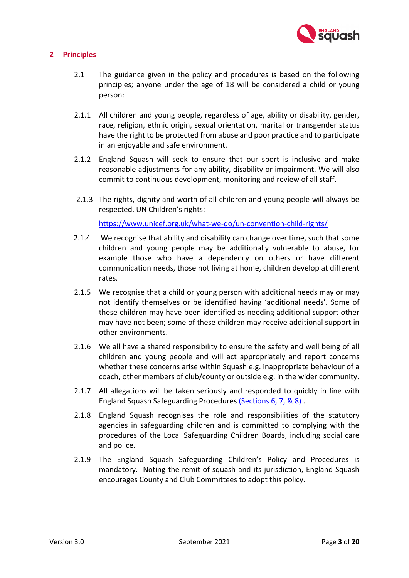

# <span id="page-2-0"></span>**2 Principles**

- 2.1 The guidance given in the policy and procedures is based on the following principles; anyone under the age of 18 will be considered a child or young person:
- 2.1.1 All children and young people, regardless of age, ability or disability, gender, race, religion, ethnic origin, sexual orientation, marital or transgender status have the right to be protected from abuse and poor practice and to participate in an enjoyable and safe environment.
- 2.1.2 England Squash will seek to ensure that our sport is inclusive and make reasonable adjustments for any ability, disability or impairment. We will also commit to continuous development, monitoring and review of all staff.
- 2.1.3 The rights, dignity and worth of all children and young people will always be respected. UN Children's rights:

<https://www.unicef.org.uk/what-we-do/un-convention-child-rights/>

- 2.1.4 We recognise that ability and disability can change over time, such that some children and young people may be additionally vulnerable to abuse, for example those who have a dependency on others or have different communication needs, those not living at home, children develop at different rates.
- 2.1.5 We recognise that a child or young person with additional needs may or may not identify themselves or be identified having 'additional needs'. Some of these children may have been identified as needing additional support other may have not been; some of these children may receive additional support in other environments.
- 2.1.6 We all have a shared responsibility to ensure the safety and well being of all children and young people and will act appropriately and report concerns whether these concerns arise within Squash e.g. inappropriate behaviour of a coach, other members of club/county or outside e.g. in the wider community.
- 2.1.7 All allegations will be taken seriously and responded to quickly in line with England Squash Safeguarding Procedures [\(Sections 6, 7, & 8\)](#page-14-1).
- 2.1.8 England Squash recognises the role and responsibilities of the statutory agencies in safeguarding children and is committed to complying with the procedures of the Local Safeguarding Children Boards, including social care and police.
- 2.1.9 The England Squash Safeguarding Children's Policy and Procedures is mandatory. Noting the remit of squash and its jurisdiction, England Squash encourages County and Club Committees to adopt this policy.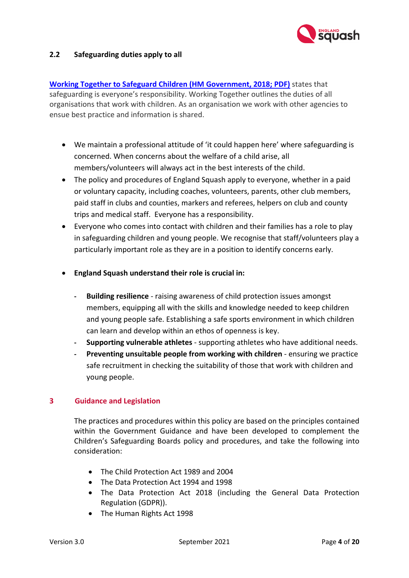

## **2.2 Safeguarding duties apply to all**

**Working Together to Safeguard Children [\(HM Government, 2018; PDF\)](https://assets.publishing.service.gov.uk/government/uploads/system/uploads/attachment_data/file/779401/Working_Together_to_Safeguard-Children.pdf)** states that safeguarding is everyone's responsibility. Working Together outlines the duties of all organisations that work with children. As an organisation we work with other agencies to ensue best practice and information is shared.

- We maintain a professional attitude of 'it could happen here' where safeguarding is concerned. When concerns about the welfare of a child arise, all members/volunteers will always act in the best interests of the child.
- The policy and procedures of England Squash apply to everyone, whether in a paid or voluntary capacity, including coaches, volunteers, parents, other club members, paid staff in clubs and counties, markers and referees, helpers on club and county trips and medical staff. Everyone has a responsibility.
- Everyone who comes into contact with children and their families has a role to play in safeguarding children and young people. We recognise that staff/volunteers play a particularly important role as they are in a position to identify concerns early.
- **England Squash understand their role is crucial in:**
	- **- Building resilience**  raising awareness of child protection issues amongst members, equipping all with the skills and knowledge needed to keep children and young people safe. Establishing a safe sports environment in which children can learn and develop within an ethos of openness is key.
	- **- Supporting vulnerable athletes** supporting athletes who have additional needs.
	- **- Preventing unsuitable people from working with children** ensuring we practice safe recruitment in checking the suitability of those that work with children and young people.

# **3 Guidance and Legislation**

<span id="page-3-0"></span>The practices and procedures within this policy are based on the principles contained within the Government Guidance and have been developed to complement the Children's Safeguarding Boards policy and procedures, and take the following into consideration:

- The Child Protection Act 1989 and 2004
- The Data Protection Act 1994 and 1998
- The Data Protection Act 2018 (including the General Data Protection Regulation (GDPR)).
- The Human Rights Act 1998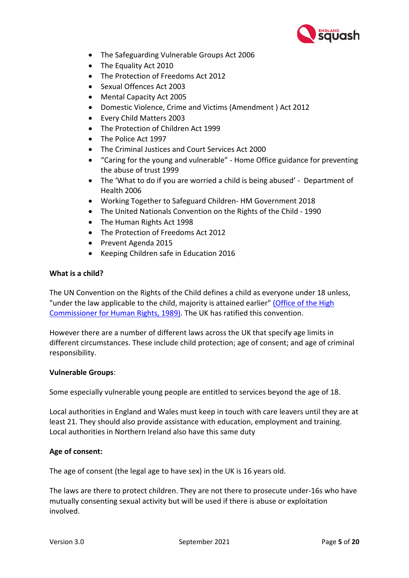

- The Safeguarding Vulnerable Groups Act 2006
- The Equality Act 2010
- The Protection of Freedoms Act 2012
- Sexual Offences Act 2003
- Mental Capacity Act 2005
- Domestic Violence, Crime and Victims (Amendment ) Act 2012
- Every Child Matters 2003
- The Protection of Children Act 1999
- The Police Act 1997
- The Criminal Justices and Court Services Act 2000
- "Caring for the young and vulnerable" Home Office guidance for preventing the abuse of trust 1999
- The 'What to do if you are worried a child is being abused' Department of Health 2006
- Working Together to Safeguard Children- HM Government 2018
- The United Nationals Convention on the Rights of the Child 1990
- The Human Rights Act 1998
- The Protection of Freedoms Act 2012
- Prevent Agenda 2015
- Keeping Children safe in Education 2016

## **What is a child?**

The UN Convention on the Rights of the Child defines a child as everyone under 18 unless, "under the law applicable to the child, majority is attained earlier" [\(Office of the High](https://www.nspcc.org.uk/preventing-abuse/child-protection-system/legal-definition-child-rights-law/legal-definitions/#pageref14482)  [Commissioner for Human Rights, 1989\).](https://www.nspcc.org.uk/preventing-abuse/child-protection-system/legal-definition-child-rights-law/legal-definitions/#pageref14482) The UK has ratified this convention.

However there are a number of different laws across the UK that specify age limits in different circumstances. These include child protection; age of consent; and age of criminal responsibility.

## **Vulnerable Groups**:

Some especially vulnerable young people are entitled to services beyond the age of 18.

Local authorities in England and Wales must keep in touch with care leavers until they are at least 21. They should also provide assistance with education, employment and training. Local authorities in Northern Ireland also have this same duty

# **Age of consent:**

The age of consent (the legal age to have sex) in the UK is 16 years old.

The laws are there to protect children. They are not there to prosecute under-16s who have mutually consenting sexual activity but will be used if there is abuse or exploitation involved.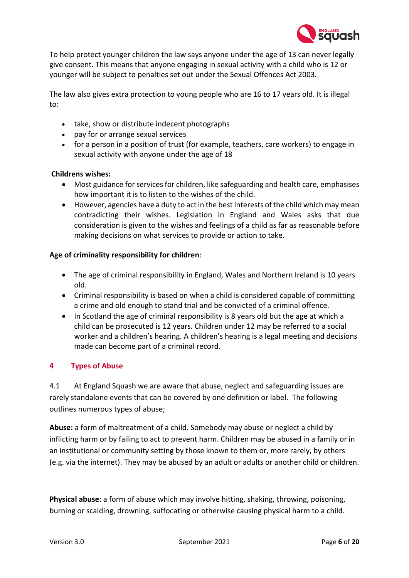

To help protect younger children the law says anyone under the age of 13 can never legally give consent. This means that anyone engaging in sexual activity with a child who is 12 or younger will be subject to penalties set out under the Sexual Offences Act 2003.

The law also gives extra protection to young people who are 16 to 17 years old. It is illegal to:

- take, show or distribute indecent photographs
- pay for or arrange sexual services
- for a person in a position of trust (for example, teachers, care workers) to engage in sexual activity with anyone under the age of 18

## **Childrens wishes:**

- Most guidance for services for children, like safeguarding and health care, emphasises how important it is to listen to the wishes of the child.
- However, agencies have a duty to act in the best interests of the child which may mean contradicting their wishes. Legislation in England and Wales asks that due consideration is given to the wishes and feelings of a child as far as reasonable before making decisions on what services to provide or action to take.

## **Age of criminality responsibility for children**:

- The age of criminal responsibility in England, Wales and Northern Ireland is 10 years old.
- Criminal responsibility is based on when a child is considered capable of committing a crime and old enough to stand trial and be convicted of a criminal offence.
- In Scotland the age of criminal responsibility is 8 years old but the age at which a child can be prosecuted is 12 years. Children under 12 may be referred to a social worker and a children's hearing. A children's hearing is a legal meeting and decisions made can become part of a criminal record.

# <span id="page-5-0"></span>**4 Types of Abuse**

4.1 At England Squash we are aware that abuse, neglect and safeguarding issues are rarely standalone events that can be covered by one definition or label. The following outlines numerous types of abuse;

**Abuse:** a form of maltreatment of a child. Somebody may abuse or neglect a child by inflicting harm or by failing to act to prevent harm. Children may be abused in a family or in an institutional or community setting by those known to them or, more rarely, by others (e.g. via the internet). They may be abused by an adult or adults or another child or children.

**Physical abuse**: a form of abuse which may involve hitting, shaking, throwing, poisoning, burning or scalding, drowning, suffocating or otherwise causing physical harm to a child.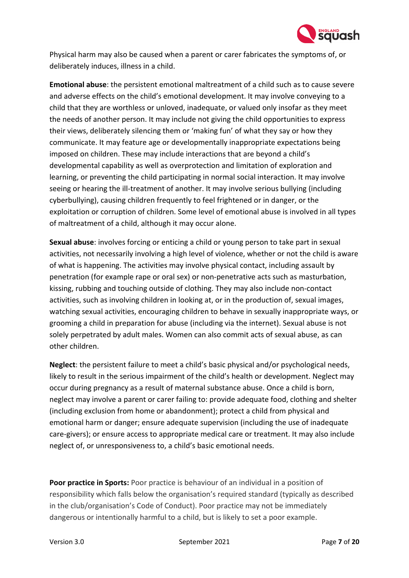

Physical harm may also be caused when a parent or carer fabricates the symptoms of, or deliberately induces, illness in a child.

**Emotional abuse**: the persistent emotional maltreatment of a child such as to cause severe and adverse effects on the child's emotional development. It may involve conveying to a child that they are worthless or unloved, inadequate, or valued only insofar as they meet the needs of another person. It may include not giving the child opportunities to express their views, deliberately silencing them or 'making fun' of what they say or how they communicate. It may feature age or developmentally inappropriate expectations being imposed on children. These may include interactions that are beyond a child's developmental capability as well as overprotection and limitation of exploration and learning, or preventing the child participating in normal social interaction. It may involve seeing or hearing the ill-treatment of another. It may involve serious bullying (including cyberbullying), causing children frequently to feel frightened or in danger, or the exploitation or corruption of children. Some level of emotional abuse is involved in all types of maltreatment of a child, although it may occur alone.

**Sexual abuse**: involves forcing or enticing a child or young person to take part in sexual activities, not necessarily involving a high level of violence, whether or not the child is aware of what is happening. The activities may involve physical contact, including assault by penetration (for example rape or oral sex) or non-penetrative acts such as masturbation, kissing, rubbing and touching outside of clothing. They may also include non-contact activities, such as involving children in looking at, or in the production of, sexual images, watching sexual activities, encouraging children to behave in sexually inappropriate ways, or grooming a child in preparation for abuse (including via the internet). Sexual abuse is not solely perpetrated by adult males. Women can also commit acts of sexual abuse, as can other children.

**Neglect**: the persistent failure to meet a child's basic physical and/or psychological needs, likely to result in the serious impairment of the child's health or development. Neglect may occur during pregnancy as a result of maternal substance abuse. Once a child is born, neglect may involve a parent or carer failing to: provide adequate food, clothing and shelter (including exclusion from home or abandonment); protect a child from physical and emotional harm or danger; ensure adequate supervision (including the use of inadequate care-givers); or ensure access to appropriate medical care or treatment. It may also include neglect of, or unresponsiveness to, a child's basic emotional needs.

**Poor practice in Sports:** Poor practice is behaviour of an individual in a position of responsibility which falls below the organisation's required standard (typically as described in the club/organisation's Code of Conduct). Poor practice may not be immediately dangerous or intentionally harmful to a child, but is likely to set a poor example.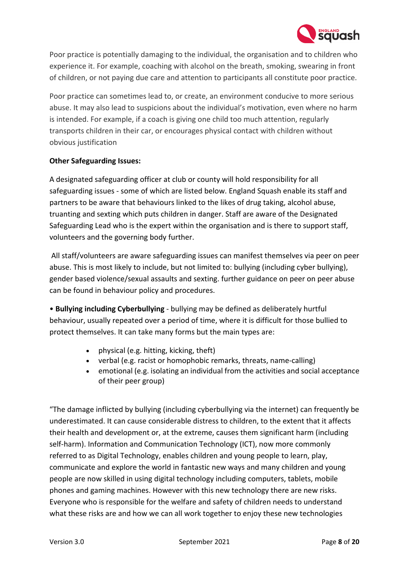

Poor practice is potentially damaging to the individual, the organisation and to children who experience it. For example, coaching with alcohol on the breath, smoking, swearing in front of children, or not paying due care and attention to participants all constitute poor practice.

Poor practice can sometimes lead to, or create, an environment conducive to more serious abuse. It may also lead to suspicions about the individual's motivation, even where no harm is intended. For example, if a coach is giving one child too much attention, regularly transports children in their car, or encourages physical contact with children without obvious justification

## **Other Safeguarding Issues:**

A designated safeguarding officer at club or county will hold responsibility for all safeguarding issues - some of which are listed below. England Squash enable its staff and partners to be aware that behaviours linked to the likes of drug taking, alcohol abuse, truanting and sexting which puts children in danger. Staff are aware of the Designated Safeguarding Lead who is the expert within the organisation and is there to support staff, volunteers and the governing body further.

All staff/volunteers are aware safeguarding issues can manifest themselves via peer on peer abuse. This is most likely to include, but not limited to: bullying (including cyber bullying), gender based violence/sexual assaults and sexting. further guidance on peer on peer abuse can be found in behaviour policy and procedures.

• **Bullying including Cyberbullying** - bullying may be defined as deliberately hurtful behaviour, usually repeated over a period of time, where it is difficult for those bullied to protect themselves. It can take many forms but the main types are:

- physical (e.g. hitting, kicking, theft)
- verbal (e.g. racist or homophobic remarks, threats, name-calling)
- emotional (e.g. isolating an individual from the activities and social acceptance of their peer group)

"The damage inflicted by bullying (including cyberbullying via the internet) can frequently be underestimated. It can cause considerable distress to children, to the extent that it affects their health and development or, at the extreme, causes them significant harm (including self-harm). Information and Communication Technology (ICT), now more commonly referred to as Digital Technology, enables children and young people to learn, play, communicate and explore the world in fantastic new ways and many children and young people are now skilled in using digital technology including computers, tablets, mobile phones and gaming machines. However with this new technology there are new risks. Everyone who is responsible for the welfare and safety of children needs to understand what these risks are and how we can all work together to enjoy these new technologies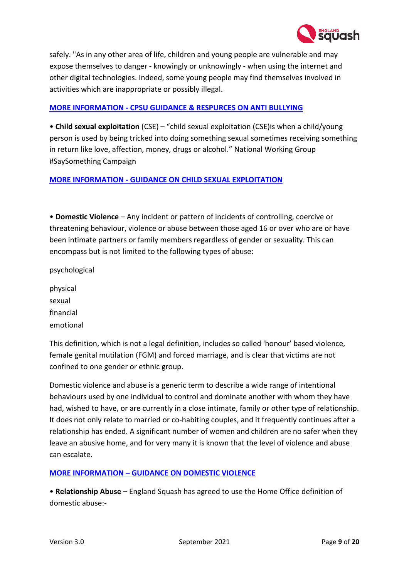

safely. "As in any other area of life, children and young people are vulnerable and may expose themselves to danger - knowingly or unknowingly - when using the internet and other digital technologies. Indeed, some young people may find themselves involved in activities which are inappropriate or possibly illegal.

## **MORE INFORMATION - [CPSU GUIDANCE & RESPURCES ON ANTI BULLYING](https://thecpsu.org.uk/help-advice/topics/anti-bullying/)**

• **Child sexual exploitation** (CSE) – "child sexual exploitation (CSE)is when a child/young person is used by being tricked into doing something sexual sometimes receiving something in return like love, affection, money, drugs or alcohol." National Working Group #SaySomething Campaign

## **MORE INFORMATION - [GUIDANCE ON CHILD SEXUAL EXPLOITATION](https://www.gov.uk/government/publications/what-to-do-if-you-suspect-a-child-is-being-sexually-exploited)**

• **Domestic Violence** – Any incident or pattern of incidents of controlling, coercive or threatening behaviour, violence or abuse between those aged 16 or over who are or have been intimate partners or family members regardless of gender or sexuality. This can encompass but is not limited to the following types of abuse:

psychological

physical sexual financial emotional

This definition, which is not a legal definition, includes so called 'honour' based violence, female genital mutilation (FGM) and forced marriage, and is clear that victims are not confined to one gender or ethnic group.

Domestic violence and abuse is a generic term to describe a wide range of intentional behaviours used by one individual to control and dominate another with whom they have had, wished to have, or are currently in a close intimate, family or other type of relationship. It does not only relate to married or co-habiting couples, and it frequently continues after a relationship has ended. A significant number of women and children are no safer when they leave an abusive home, and for very many it is known that the level of violence and abuse can escalate.

# **MORE INFORMATION – [GUIDANCE ON DOMESTIC VIOLENCE](https://www.gov.uk/guidance/domestic-violence-and-abuse)**

• **Relationship Abuse** – England Squash has agreed to use the Home Office definition of domestic abuse:-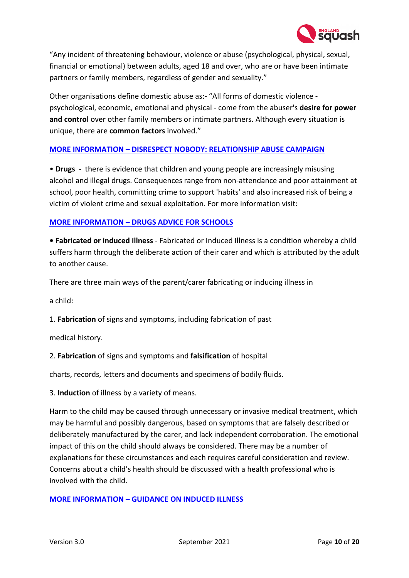

"Any incident of threatening behaviour, violence or abuse (psychological, physical, sexual, financial or emotional) between adults, aged 18 and over, who are or have been intimate partners or family members, regardless of gender and sexuality."

Other organisations define domestic abuse as:- "All forms of domestic violence psychological, economic, emotional and physical - come from the abuser's **desire for power and control** over other family members or intimate partners. Although every situation is unique, there are **common factors** involved."

# **MORE INFORMATION – [DISRESPECT NOBODY: RELATIONSHIP ABUSE CAMPAIGN](https://www.disrespectnobody.co.uk/relationship-abuse/what-is-relationship-abuse/)**

• **Drugs** - there is evidence that children and young people are increasingly misusing alcohol and illegal drugs. Consequences range from non-attendance and poor attainment at school, poor health, committing crime to support 'habits' and also increased risk of being a victim of violent crime and sexual exploitation. For more information visit:

## **MORE INFORMATION – [DRUGS ADVICE FOR SCHOOLS](https://www.gov.uk/government/publications/drugs-advice-for-schools)**

**• Fabricated or induced illness** - Fabricated or Induced Illness is a condition whereby a child suffers harm through the deliberate action of their carer and which is attributed by the adult to another cause.

There are three main ways of the parent/carer fabricating or inducing illness in

a child:

1. **Fabrication** of signs and symptoms, including fabrication of past

medical history.

## 2. **Fabrication** of signs and symptoms and **falsification** of hospital

charts, records, letters and documents and specimens of bodily fluids.

3. **Induction** of illness by a variety of means.

Harm to the child may be caused through unnecessary or invasive medical treatment, which may be harmful and possibly dangerous, based on symptoms that are falsely described or deliberately manufactured by the carer, and lack independent corroboration. The emotional impact of this on the child should always be considered. There may be a number of explanations for these circumstances and each requires careful consideration and review. Concerns about a child's health should be discussed with a health professional who is involved with the child.

## **MORE INFORMATION – [GUIDANCE ON INDUCED ILLNESS](https://www.gov.uk/government/publications/safeguarding-children-in-whom-illness-is-fabricated-or-induced)**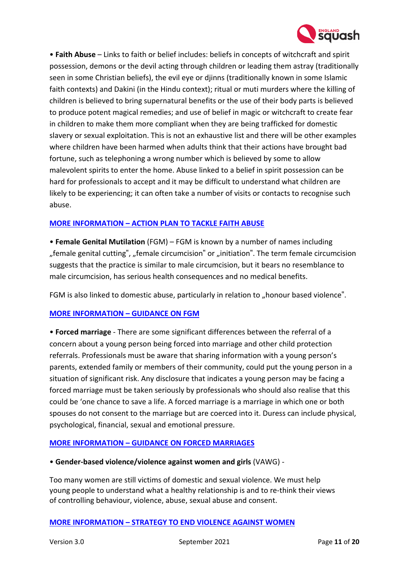

• **Faith Abuse** – Links to faith or belief includes: beliefs in concepts of witchcraft and spirit possession, demons or the devil acting through children or leading them astray (traditionally seen in some Christian beliefs), the evil eye or djinns (traditionally known in some Islamic faith contexts) and Dakini (in the Hindu context); ritual or muti murders where the killing of children is believed to bring supernatural benefits or the use of their body parts is believed to produce potent magical remedies; and use of belief in magic or witchcraft to create fear in children to make them more compliant when they are being trafficked for domestic slavery or sexual exploitation. This is not an exhaustive list and there will be other examples where children have been harmed when adults think that their actions have brought bad fortune, such as telephoning a wrong number which is believed by some to allow malevolent spirits to enter the home. Abuse linked to a belief in spirit possession can be hard for professionals to accept and it may be difficult to understand what children are likely to be experiencing; it can often take a number of visits or contacts to recognise such abuse.

## **MORE INFORMATION – [ACTION PLAN TO TACKLE FAITH ABUSE](https://www.gov.uk/government/publications/national-action-plan-to-tackle-child-abuse-linked-to-faith-or-belief)**

• **Female Genital Mutilation** (FGM) – FGM is known by a number of names including ", female genital cutting", "female circumcision" or "initiation". The term female circumcision suggests that the practice is similar to male circumcision, but it bears no resemblance to male circumcision, has serious health consequences and no medical benefits.

FGM is also linked to domestic abuse, particularly in relation to "honour based violence".

## **[MORE INFORMATION –](https://www.gov.uk/government/publications/multi-agency-statutory-guidance-on-female-genital-mutilation) GUIDANCE ON FGM**

• **Forced marriage** - There are some significant differences between the referral of a concern about a young person being forced into marriage and other child protection referrals. Professionals must be aware that sharing information with a young person's parents, extended family or members of their community, could put the young person in a situation of significant risk. Any disclosure that indicates a young person may be facing a forced marriage must be taken seriously by professionals who should also realise that this could be 'one chance to save a life. A forced marriage is a marriage in which one or both spouses do not consent to the marriage but are coerced into it. Duress can include physical, psychological, financial, sexual and emotional pressure.

## **MORE INFORMATION – [GUIDANCE ON FORCED MARRIAGES](https://www.gov.uk/guidance/forced-marriage)**

## • **Gender-based violence/violence against women and girls** (VAWG) -

Too many women are still victims of domestic and sexual violence. We must help young people to understand what a healthy relationship is and to re-think their views of controlling behaviour, violence, abuse, sexual abuse and consent.

#### **MORE INFORMATION – [STRATEGY TO END VIOLENCE AGAINST WOMEN](https://www.gov.uk/government/publications/strategy-to-end-violence-against-women-and-girls-2016-to-2020)**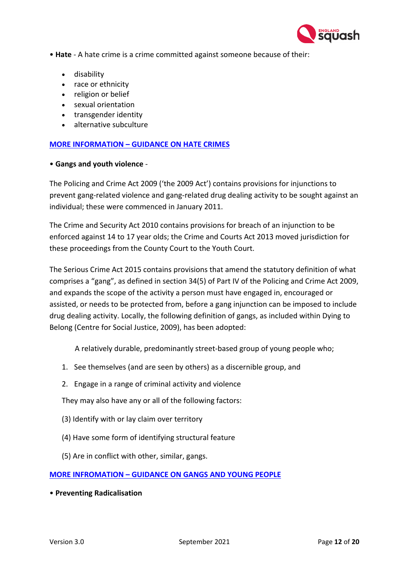

- **Hate** A hate crime is a crime committed against someone because of their:
	- disability
	- race or ethnicity
	- religion or belief
	- sexual orientation
	- transgender identity
	- alternative subculture

## **MORE INFORMATION – [GUIDANCE ON HATE CRIMES](http://educateagainsthate.com/)**

### • **Gangs and youth violence** -

The Policing and Crime Act 2009 ('the 2009 Act') contains provisions for injunctions to prevent gang-related violence and gang-related drug dealing activity to be sought against an individual; these were commenced in January 2011.

The Crime and Security Act 2010 contains provisions for breach of an injunction to be enforced against 14 to 17 year olds; the Crime and Courts Act 2013 moved jurisdiction for these proceedings from the County Court to the Youth Court.

The Serious Crime Act 2015 contains provisions that amend the statutory definition of what comprises a "gang", as defined in section 34(5) of Part IV of the Policing and Crime Act 2009, and expands the scope of the activity a person must have engaged in, encouraged or assisted, or needs to be protected from, before a gang injunction can be imposed to include drug dealing activity. Locally, the following definition of gangs, as included within Dying to Belong (Centre for Social Justice, 2009), has been adopted:

A relatively durable, predominantly street-based group of young people who;

- 1. See themselves (and are seen by others) as a discernible group, and
- 2. Engage in a range of criminal activity and violence

They may also have any or all of the following factors:

- (3) Identify with or lay claim over territory
- (4) Have some form of identifying structural feature
- (5) Are in conflict with other, similar, gangs.

## **MORE INFROMATION – [GUIDANCE ON GANGS AND YOUNG PEOPLE](https://www.nspcc.org.uk/preventing-abuse/keeping-children-safe/staying-safe-away-from-home/gangs-young-people/)**

• **Preventing Radicalisation**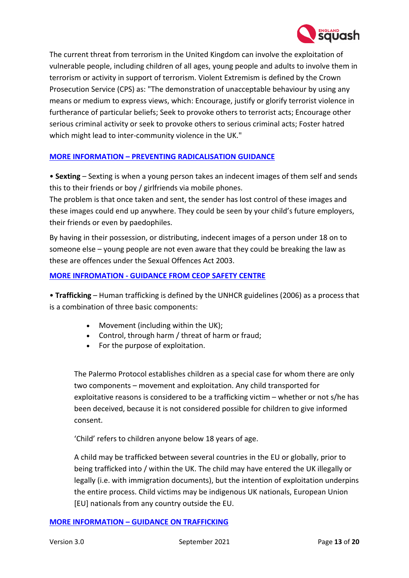

The current threat from terrorism in the United Kingdom can involve the exploitation of vulnerable people, including children of all ages, young people and adults to involve them in terrorism or activity in support of terrorism. Violent Extremism is defined by the Crown Prosecution Service (CPS) as: "The demonstration of unacceptable behaviour by using any means or medium to express views, which: Encourage, justify or glorify terrorist violence in furtherance of particular beliefs; Seek to provoke others to terrorist acts; Encourage other serious criminal activity or seek to provoke others to serious criminal acts; Foster hatred which might lead to inter-community violence in the UK."

## **MORE INFORMATION – [PREVENTING RADICALISATION GUIDANCE](https://assets.publishing.service.gov.uk/government/uploads/system/uploads/attachment_data/file/445977/3799_Revised_Prevent_Duty_Guidance__England_Wales_V2-Interactive.pdf)**

• **Sexting** – Sexting is when a young person takes an indecent images of them self and sends this to their friends or boy / girlfriends via mobile phones.

The problem is that once taken and sent, the sender has lost control of these images and these images could end up anywhere. They could be seen by your child's future employers, their friends or even by paedophiles.

By having in their possession, or distributing, indecent images of a person under 18 on to someone else – young people are not even aware that they could be breaking the law as these are offences under the Sexual Offences Act 2003.

## **MORE INFROMATION - [GUIDANCE FROM CEOP](https://www.ceop.police.uk/) SAFETY CENTRE**

• **Trafficking** – Human trafficking is defined by the UNHCR guidelines (2006) as a process that is a combination of three basic components:

- Movement (including within the UK);
- Control, through harm / threat of harm or fraud;
- For the purpose of exploitation.

The Palermo Protocol establishes children as a special case for whom there are only two components – movement and exploitation. Any child transported for exploitative reasons is considered to be a trafficking victim – whether or not s/he has been deceived, because it is not considered possible for children to give informed consent.

'Child' refers to children anyone below 18 years of age.

A child may be trafficked between several countries in the EU or globally, prior to being trafficked into / within the UK. The child may have entered the UK illegally or legally (i.e. with immigration documents), but the intention of exploitation underpins the entire process. Child victims may be indigenous UK nationals, European Union [EU] nationals from any country outside the EU.

## **MORE INFORMATION – [GUIDANCE ON TRAFFICKING](https://www.gov.uk/government/publications/safeguarding-children-who-may-have-been-trafficked-practice-guidance)**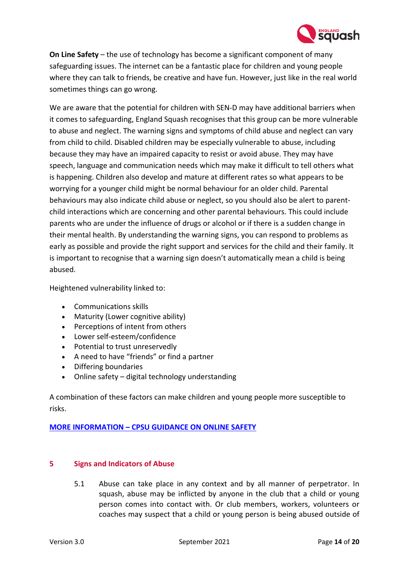

**On Line Safety** – the use of technology has become a significant component of many safeguarding issues. The internet can be a fantastic place for children and young people where they can talk to friends, be creative and have fun. However, just like in the real world sometimes things can go wrong.

We are aware that the potential for children with SEN-D may have additional barriers when it comes to safeguarding, England Squash recognises that this group can be more vulnerable to abuse and neglect. The warning signs and symptoms of child abuse and neglect can vary from child to child. Disabled children may be especially vulnerable to abuse, including because they may have an impaired capacity to resist or avoid abuse. They may have speech, language and communication needs which may make it difficult to tell others what is happening. Children also develop and mature at different rates so what appears to be worrying for a younger child might be normal behaviour for an older child. Parental behaviours may also indicate child abuse or neglect, so you should also be alert to parentchild interactions which are concerning and other parental behaviours. This could include parents who are under the influence of drugs or alcohol or if there is a sudden change in their mental health. By understanding the warning signs, you can respond to problems as early as possible and provide the right support and services for the child and their family. It is important to recognise that a warning sign doesn't automatically mean a child is being abused.

Heightened vulnerability linked to:

- Communications skills
- Maturity (Lower cognitive ability)
- Perceptions of intent from others
- Lower self-esteem/confidence
- Potential to trust unreservedly
- A need to have "friends" or find a partner
- Differing boundaries
- Online safety digital technology understanding

A combination of these factors can make children and young people more susceptible to risks.

## **MORE INFORMATION – [CPSU GUIDANCE ON ONLINE SAFETY](https://thecpsu.org.uk/help-advice/topics/online-safety/)**

## **5 Signs and Indicators of Abuse**

<span id="page-13-0"></span>5.1 Abuse can take place in any context and by all manner of perpetrator. In squash, abuse may be inflicted by anyone in the club that a child or young person comes into contact with. Or club members, workers, volunteers or coaches may suspect that a child or young person is being abused outside of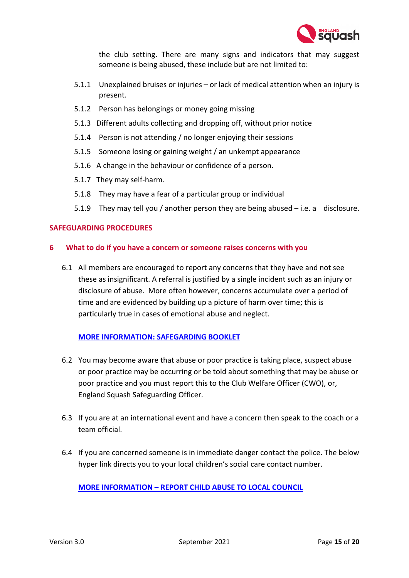

the club setting. There are many signs and indicators that may suggest someone is being abused, these include but are not limited to:

- 5.1.1 Unexplained bruises or injuries or lack of medical attention when an injury is present.
- 5.1.2 Person has belongings or money going missing
- 5.1.3 Different adults collecting and dropping off, without prior notice
- 5.1.4 Person is not attending / no longer enjoying their sessions
- 5.1.5 Someone losing or gaining weight / an unkempt appearance
- 5.1.6 A change in the behaviour or confidence of a person.
- 5.1.7 They may self-harm.
- 5.1.8 They may have a fear of a particular group or individual
- 5.1.9 They may tell you / another person they are being abused i.e. a disclosure.

## <span id="page-14-1"></span>**SAFEGUARDING PROCEDURES**

## <span id="page-14-0"></span>**6 What to do if you have a concern or someone raises concerns with you**

6.1 All members are encouraged to report any concerns that they have and not see these as insignificant. A referral is justified by a single incident such as an injury or disclosure of abuse. More often however, concerns accumulate over a period of time and are evidenced by building up a picture of harm over time; this is particularly true in cases of emotional abuse and neglect.

## **[MORE INFORMATION: SAFEGARDING BOOKLET](https://thecpsu.org.uk/resource-library/2015/safeguarding-youth-sport-booklet/)**

- 6.2 You may become aware that abuse or poor practice is taking place, suspect abuse or poor practice may be occurring or be told about something that may be abuse or poor practice and you must report this to the Club Welfare Officer (CWO), or, England Squash Safeguarding Officer.
- 6.3 If you are at an international event and have a concern then speak to the coach or a team official.
- 6.4 If you are concerned someone is in immediate danger contact the police. The below hyper link directs you to your local children's social care contact number.

**MORE INFORMATION – [REPORT CHILD ABUSE TO LOCAL COUNCIL](https://www.gov.uk/report-child-abuse-to-local-council)**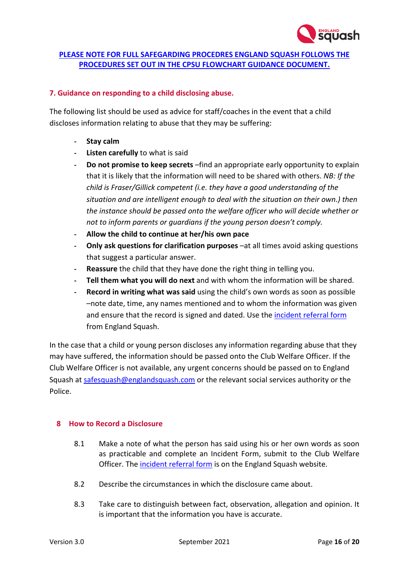

# **[PLEASE NOTE FOR FULL SAFEGARDING PROCEDRES ENGLAND SQUASH FOLLOWS THE](https://thecpsu.org.uk/download/media/319549/safeguarding-reporting-procedure-flowcharts-watermarked.pdf)  [PROCEDURES SET OUT IN THE CPSU FLOWCHART](https://thecpsu.org.uk/download/media/319549/safeguarding-reporting-procedure-flowcharts-watermarked.pdf) GUIDANCE DOCUMENT.**

## <span id="page-15-0"></span>**7. Guidance on responding to a child disclosing abuse.**

The following list should be used as advice for staff/coaches in the event that a child discloses information relating to abuse that they may be suffering:

- **- Stay calm**
- **- Listen carefully** to what is said
- **- Do not promise to keep secrets** –find an appropriate early opportunity to explain that it is likely that the information will need to be shared with others. *NB: If the child is Fraser/Gillick competent (i.e. they have a good understanding of the situation and are intelligent enough to deal with the situation on their own.) then the instance should be passed onto the welfare officer who will decide whether or not to inform parents or guardians if the young person doesn't comply.*
- **- Allow the child to continue at her/his own pace**
- **Only ask questions for clarification purposes**  $-$ at all times avoid asking questions that suggest a particular answer.
- **- Reassure** the child that they have done the right thing in telling you.
- **- Tell them what you will do next** and with whom the information will be shared.
- **- Record in writing what was said** using the child's own words as soon as possible –note date, time, any names mentioned and to whom the information was given and ensure that the record is signed and dated. Use the [incident referral form](https://data.englandsquash.com/files?fileName=7d6d2e5f-6d81-4794-b3ff-df353dc80860.docx) from England Squash.

In the case that a child or young person discloses any information regarding abuse that they may have suffered, the information should be passed onto the Club Welfare Officer. If the Club Welfare Officer is not available, any urgent concerns should be passed on to England Squash at [safesquash@englandsquash.com](mailto:safesquash@englandsquash.com) or the relevant social services authority or the Police.

## <span id="page-15-1"></span>**8 How to Record a Disclosure**

- 8.1 Make a note of what the person has said using his or her own words as soon as practicable and complete an Incident Form, submit to the Club Welfare Officer. The [incident referral form](https://data.englandsquash.com/files?fileName=7d6d2e5f-6d81-4794-b3ff-df353dc80860.docx) is on the England Squash website.
- 8.2 Describe the circumstances in which the disclosure came about.
- 8.3 Take care to distinguish between fact, observation, allegation and opinion. It is important that the information you have is accurate.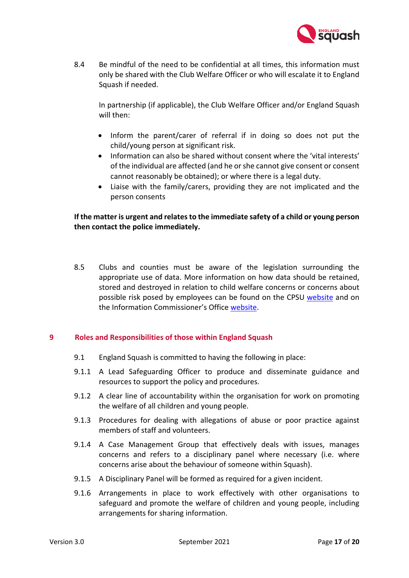

8.4 Be mindful of the need to be confidential at all times, this information must only be shared with the Club Welfare Officer or who will escalate it to England Squash if needed.

In partnership (if applicable), the Club Welfare Officer and/or England Squash will then:

- Inform the parent/carer of referral if in doing so does not put the child/young person at significant risk.
- Information can also be shared without consent where the 'vital interests' of the individual are affected (and he or she cannot give consent or consent cannot reasonably be obtained); or where there is a legal duty.
- Liaise with the family/carers, providing they are not implicated and the person consents

## **If the matter is urgent and relates to the immediate safety of a child or young person then contact the police immediately.**

8.5 Clubs and counties must be aware of the legislation surrounding the appropriate use of data. More information on how data should be retained, stored and destroyed in relation to child welfare concerns or concerns about possible risk posed by employees can be found on the CPSU [website](https://thecpsu.org.uk/resource-library/best-practice/guidance-on-child-protection-records-retention-and-storage/) and on the Information Commissioner's Office [website.](https://ico.org.uk/for-organisations/guide-to-data-protection/guide-to-the-general-data-protection-regulation-gdpr/)

## **9 Roles and Responsibilities of those within England Squash**

- <span id="page-16-0"></span>9.1 England Squash is committed to having the following in place:
- 9.1.1 A Lead Safeguarding Officer to produce and disseminate guidance and resources to support the policy and procedures.
- 9.1.2 A clear line of accountability within the organisation for work on promoting the welfare of all children and young people.
- 9.1.3 Procedures for dealing with allegations of abuse or poor practice against members of staff and volunteers.
- 9.1.4 A Case Management Group that effectively deals with issues, manages concerns and refers to a disciplinary panel where necessary (i.e. where concerns arise about the behaviour of someone within Squash).
- 9.1.5 A Disciplinary Panel will be formed as required for a given incident.
- 9.1.6 Arrangements in place to work effectively with other organisations to safeguard and promote the welfare of children and young people, including arrangements for sharing information.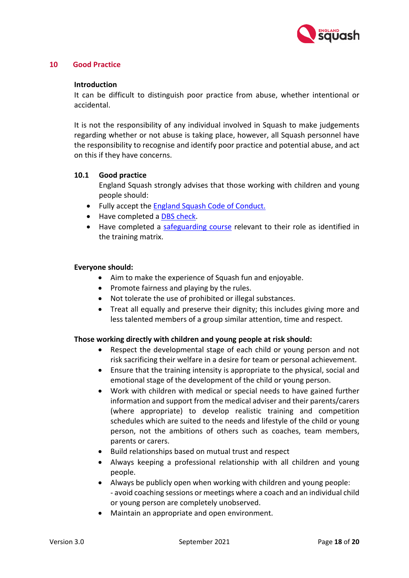

## **10 Good Practice**

#### <span id="page-17-0"></span>**Introduction**

It can be difficult to distinguish poor practice from abuse, whether intentional or accidental.

It is not the responsibility of any individual involved in Squash to make judgements regarding whether or not abuse is taking place, however, all Squash personnel have the responsibility to recognise and identify poor practice and potential abuse, and act on this if they have concerns.

### **10.1 Good practice**

England Squash strongly advises that those working with children and young people should:

- Fully accept the England Squash [Code of Conduct.](https://www.englandsquash.com/get-involved/referee/code-of-conduct)
- Have completed a [DBS check.](https://www.englandsquash.com/get-involved/coach/disclosure-and-barring-service-dbs-enhanced-check/disclosure-and-barring-service-dbs-faqs)
- Have completed a [safeguarding course](https://data.englandsquash.com/files?fileName=5eddce56-b47a-4145-9bc8-b457b7825997.pdf) relevant to their role as identified in the training matrix.

#### **Everyone should:**

- Aim to make the experience of Squash fun and enjoyable.
- Promote fairness and playing by the rules.
- Not tolerate the use of prohibited or illegal substances.
- Treat all equally and preserve their dignity; this includes giving more and less talented members of a group similar attention, time and respect.

#### **Those working directly with children and young people at risk should:**

- Respect the developmental stage of each child or young person and not risk sacrificing their welfare in a desire for team or personal achievement.
- Ensure that the training intensity is appropriate to the physical, social and emotional stage of the development of the child or young person.
- Work with children with medical or special needs to have gained further information and support from the medical adviser and their parents/carers (where appropriate) to develop realistic training and competition schedules which are suited to the needs and lifestyle of the child or young person, not the ambitions of others such as coaches, team members, parents or carers.
- Build relationships based on mutual trust and respect
- Always keeping a professional relationship with all children and young people.
- Always be publicly open when working with children and young people: - avoid coaching sessions or meetings where a coach and an individual child or young person are completely unobserved.
- Maintain an appropriate and open environment.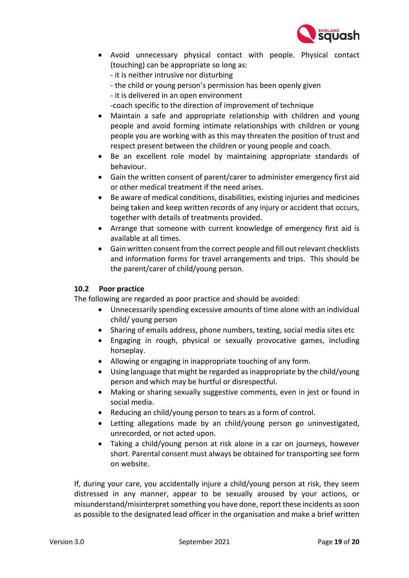

- Avoid unnecessary physical contact with people. Physical contact (touching) can be appropriate so long as:
	- it is neither intrusive nor disturbing
	- the child or young person's permission has been openly given
	- it is delivered in an open environment
	- -coach specific to the direction of improvement of technique
- Maintain a safe and appropriate relationship with children and young people and avoid forming intimate relationships with children or young people you are working with as this may threaten the position of trust and respect present between the children or young people and coach.
- Be an excellent role model by maintaining appropriate standards of behaviour.
- Gain the written consent of parent/carer to administer emergency first aid or other medical treatment if the need arises.
- Be aware of medical conditions, disabilities, existing injuries and medicines being taken and keep written records of any injury or accident that occurs, together with details of treatments provided.
- Arrange that someone with current knowledge of emergency first aid is available at all times.
- Gain written consent from the correct people and fill out relevant checklists and information forms for travel arrangements and trips. This should be the parent/carer of child/young person.

## **10.2 Poor practice**

The following are regarded as poor practice and should be avoided:

- Unnecessarily spending excessive amounts of time alone with an individual child/ young person
- Sharing of emails address, phone numbers, texting, social media sites etc
- Engaging in rough, physical or sexually provocative games, including horseplay.
- Allowing or engaging in inappropriate touching of any form.
- Using language that might be regarded as inappropriate by the child/young person and which may be hurtful or disrespectful.
- Making or sharing sexually suggestive comments, even in jest or found in social media.
- Reducing an child/young person to tears as a form of control.
- Letting allegations made by an child/young person go uninvestigated, unrecorded, or not acted upon.
- Taking a child/young person at risk alone in a car on journeys, however short. Parental consent must always be obtained for transporting see form on website.

If, during your care, you accidentally injure a child/young person at risk, they seem distressed in any manner, appear to be sexually aroused by your actions, or misunderstand/misinterpret something you have done, report these incidents as soon as possible to the designated lead officer in the organisation and make a brief written